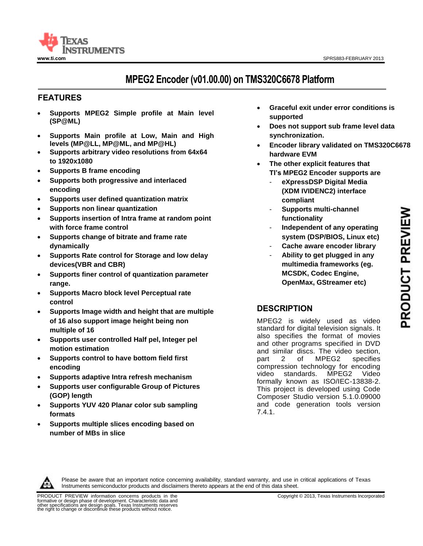

# **MPEG2 Encoder (v01.00.00) on TMS320C6678 Platform**

# **<sup>11</sup>FEATURES**

- **Supports MPEG2 Simple profile at Main level (SP@ML)**
- **Supports Main profile at Low, Main and High levels (MP@LL, MP@ML, and MP@HL)**
- **Supports arbitrary video resolutions from 64x64 to 1920x1080**
- **Supports B frame encoding**
- **Supports both progressive and interlaced encoding**
- **Supports user defined quantization matrix**
- **Supports non linear quantization**
- **Supports insertion of Intra frame at random point with force frame control**
- **Supports change of bitrate and frame rate dynamically**
- **Supports Rate control for Storage and low delay devices(VBR and CBR)**
- **Supports finer control of quantization parameter range.**
- **Supports Macro block level Perceptual rate control**
- **Supports Image width and height that are multiple of 16 also support image height being non multiple of 16**
- **Supports user controlled Half pel, Integer pel motion estimation**
- **Supports control to have bottom field first encoding**
- **Supports adaptive Intra refresh mechanism**
- **Supports user configurable Group of Pictures (GOP) length**
- **Supports YUV 420 Planar color sub sampling formats**
- **Supports multiple slices encoding based on number of MBs in slice**
- **Graceful exit under error conditions is supported**
- **Does not support sub frame level data synchronization.**
- **Encoder library validated on TMS320C6678 hardware EVM**
- **The other explicit features that TI's MPEG2 Encoder supports are** 
	- **eXpressDSP Digital Media (XDM IVIDENC2) interface compliant**
	- **Supports multi-channel functionality**
	- **Independent of any operating system (DSP/BIOS, Linux etc)**
	- **Cache aware encoder library** - **Ability to get plugged in any multimedia frameworks (eg.**
	- **MCSDK, Codec Engine, OpenMax, GStreamer etc)**

# **DESCRIPTION**

MPEG2 is widely used as video standard for digital television signals. It also specifies the format of movies and other programs specified in DVD and similar discs. The video section, part 2 of MPEG2 specifies compression technology for encoding video standards. MPEG2 Video formally known as ISO/IEC-13838-2. This project is developed using Code Composer Studio version 5.1.0.09000 and code generation tools version 7.4.1.



Please be aware that an important notice concerning availability, standard warranty, and use in critical applications of Texas Instruments semiconductor products and disclaimers thereto appears at the end of this data sheet.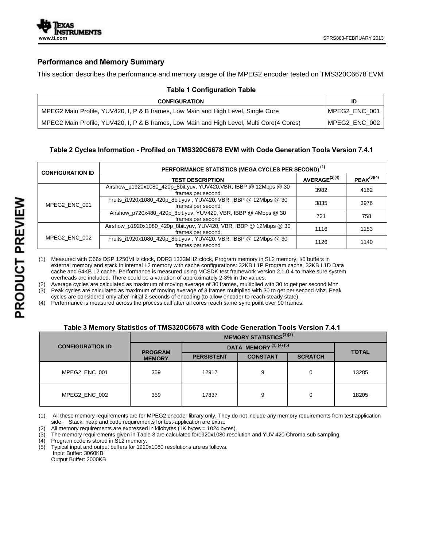

## **Performance and Memory Summary**

This section describes the performance and memory usage of the MPEG2 encoder tested on TMS320C6678 EVM

| <b>Table 1 Configuration Table</b>                                                        |               |  |  |  |
|-------------------------------------------------------------------------------------------|---------------|--|--|--|
| <b>CONFIGURATION</b>                                                                      | ID            |  |  |  |
| MPEG2 Main Profile, YUV420, I, P & B frames, Low Main and High Level, Single Core         | MPEG2 ENC 001 |  |  |  |
| MPEG2 Main Profile, YUV420, I, P & B frames, Low Main and High Level, Multi Core(4 Cores) | MPEG2 ENC 002 |  |  |  |

# **Table 2 Cycles Information - Profiled on TMS320C6678 EVM with Code Generation Tools Version 7.4.1**

| <b>CONFIGURATION ID</b> | PERFORMANCE STATISTICS (MEGA CYCLES PER SECOND) <sup>(1)</sup>                         |                           |                 |  |  |
|-------------------------|----------------------------------------------------------------------------------------|---------------------------|-----------------|--|--|
|                         | <b>TEST DESCRIPTION</b>                                                                | AVERAGE <sup>(2)(4)</sup> | $PEAK^{(3)(4)}$ |  |  |
| MPEG2 ENC 001           | Airshow_p1920x1080_420p_8bit.yuv, YUV420, VBR, IBBP @ 12Mbps @ 30<br>frames per second | 3982                      | 4162            |  |  |
|                         | Fruits_i1920x1080_420p_8bit.yuv, YUV420, VBR, IBBP @ 12Mbps @ 30<br>frames per second  | 3835                      | 3976            |  |  |
|                         | Airshow_p720x480_420p_8bit.yuv, YUV420, VBR, IBBP @ 4Mbps @ 30<br>frames per second    | 721                       | 758             |  |  |
| MPEG2 ENC 002           | Airshow_p1920x1080_420p_8bit.yuv, YUV420, VBR, IBBP @ 12Mbps @ 30<br>frames per second | 1116                      | 1153            |  |  |
|                         | Fruits_i1920x1080_420p_8bit.yuv, YUV420, VBR, IBBP @ 12Mbps @ 30<br>frames per second  | 1126                      | 1140            |  |  |

(1) Measured with C66x DSP 1250MHz clock, DDR3 1333MHZ clock, Program memory in SL2 memory, I/0 buffers in external memory and stack in internal L2 memory with cache configurations: 32KB L1P Program cache, 32KB L1D Data cache and 64KB L2 cache. Performance is measured using MCSDK test framework version 2.1.0.4 to make sure system overheads are included. There could be a variation of approximately 2-3% in the values.

(2) Average cycles are calculated as maximum of moving average of 30 frames, multiplied with 30 to get per second Mhz.

(3) Peak cycles are calculated as maximum of moving average of 3 frames multiplied with 30 to get per second Mhz. Peak

cycles are considered only after initial 2 seconds of encoding (to allow encoder to reach steady state).

(4) Performance is measured across the process call after all cores reach same sync point over 90 frames.

#### **Table 3 Memory Statistics of TMS320C6678 with Code Generation Tools Version 7.4.1**

|                         | <b>MEMORY STATISTICS</b> <sup>(1)(2)</sup>                      |                   |                 |                |              |
|-------------------------|-----------------------------------------------------------------|-------------------|-----------------|----------------|--------------|
| <b>CONFIGURATION ID</b> | <b>DATA MEMORY</b> $^{(3)}$ $^{(4)}$ $^{(5)}$<br><b>PROGRAM</b> |                   |                 |                | <b>TOTAL</b> |
|                         | <b>MEMORY</b>                                                   | <b>PERSISTENT</b> | <b>CONSTANT</b> | <b>SCRATCH</b> |              |
| MPEG2 ENC 001           | 359                                                             | 12917             | 9               | 0              | 13285        |
| MPEG2 ENC 002           | 359                                                             | 17837             | 9               | 0              | 18205        |

(1) All these memory requirements are for MPEG2 encoder library only. They do not include any memory requirements from test application side. Stack, heap and code requirements for test-application are extra.

(2) All memory requirements are expressed in kilobytes (1K bytes = 1024 bytes).

(3) The memory requirements given in Table 3 are calculated for1920x1080 resolution and YUV 420 Chroma sub sampling.

(4) Program code is stored in SL2 memory.<br>(5) Typical input and output buffers for 1920 Typical input and output buffers for 1920x1080 resolutions are as follows.

 Input Buffer: 3060KB Output Buffer: 2000KB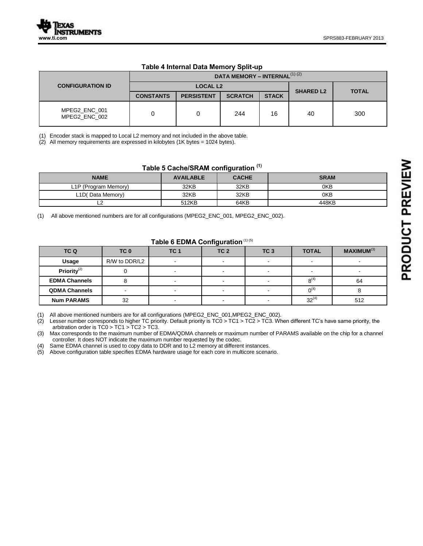|                                | DATA MEMORY - INTERNAL <sup>(1)(2)</sup> |                   |                |              |                  |              |
|--------------------------------|------------------------------------------|-------------------|----------------|--------------|------------------|--------------|
| <b>CONFIGURATION ID</b>        | <b>LOCAL L2</b>                          |                   |                |              |                  | <b>TOTAL</b> |
|                                | <b>CONSTANTS</b>                         | <b>PERSISTENT</b> | <b>SCRATCH</b> | <b>STACK</b> | <b>SHARED L2</b> |              |
| MPEG2_ENC_001<br>MPEG2 ENC 002 | 0                                        | 0                 | 244            | 16           | 40               | 300          |

#### **Table 4 Internal Data Memory Split-up**

(1) Encoder stack is mapped to Local L2 memory and not included in the above table.

(2) All memory requirements are expressed in kilobytes (1K bytes = 1024 bytes).

# **Table 5 Cache/SRAM configuration (1)**

| <b>NAME</b>          | <b>AVAILABLE</b> | <b>CACHE</b> | <b>SRAM</b> |
|----------------------|------------------|--------------|-------------|
| L1P (Program Memory) | 32KB             | 32KB         | 0KB         |
| L1D(Data Memory)     | 32KB             | 32KB         | 0KB         |
|                      | 512KB            | 64KB         | 448KB       |

(1) All above mentioned numbers are for all configurations (MPEG2\_ENC\_001, MPEG2\_ENC\_002).

#### **Table 6 EDMA Configuration** (1) (5)

| TC Q                 | TC <sub>0</sub> | TC <sub>1</sub>          | TC <sub>2</sub> | TC <sub>3</sub>          | <b>TOTAL</b> | <b>MAXIMUM</b> <sup>(3)</sup> |
|----------------------|-----------------|--------------------------|-----------------|--------------------------|--------------|-------------------------------|
| Usage                | R/W to DDR/L2   | $\sim$                   |                 | $\overline{\phantom{0}}$ |              |                               |
| Priority $^{(2)}$    |                 | $\overline{\phantom{0}}$ |                 | $\overline{\phantom{0}}$ |              |                               |
| <b>EDMA Channels</b> |                 |                          |                 |                          | $8^{(4)}$    | 64                            |
| <b>QDMA Channels</b> |                 | $\overline{\phantom{0}}$ |                 | <b>.</b>                 | $0^{(4)}$    |                               |
| <b>Num PARAMS</b>    | 32              | $\sim$                   |                 | $\overline{\phantom{0}}$ | $32^{(4)}$   | 512                           |

(1) All above mentioned numbers are for all configurations (MPEG2\_ENC\_001,MPEG2\_ENC\_002).

(2) Lesser number corresponds to higher TC priority. Default priority is TC0 > TC1 > TC2 > TC3. When different TC's have same priority, the arbitration order is TC0 > TC1 > TC2 > TC3.

(3) Max corresponds to the maximum number of EDMA/QDMA channels or maximum number of PARAMS available on the chip for a channel controller. It does NOT indicate the maximum number requested by the codec.

(4) Same EDMA channel is used to copy data to DDR and to L2 memory at different instances.

(5) Above configuration table specifies EDMA hardware usage for each core in multicore scenario.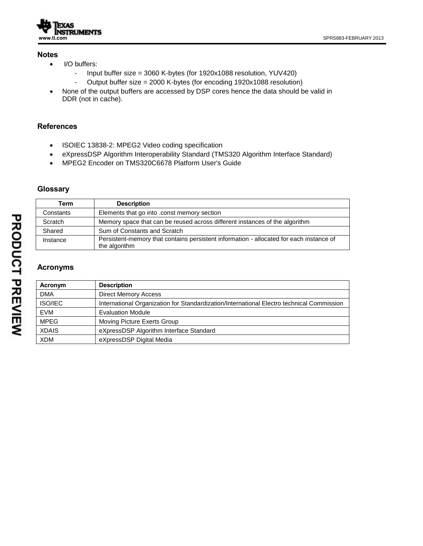

### **Notes**

- I/O buffers:
	- Input buffer size = 3060 K-bytes (for 1920x1088 resolution, YUV420)
	- Output buffer size = 2000 K-bytes (for encoding 1920x1088 resolution)
- None of the output buffers are accessed by DSP cores hence the data should be valid in DDR (not in cache).

# **References**

- ISOIEC 13838-2: MPEG2 Video coding specification
- eXpressDSP Algorithm Interoperability Standard (TMS320 Algorithm Interface Standard)
- MPEG2 Encoder on TMS320C6678 Platform User's Guide

### **Glossary**

| Term      | <b>Description</b>                                                                                       |
|-----------|----------------------------------------------------------------------------------------------------------|
| Constants | Elements that go into .const memory section                                                              |
| Scratch   | Memory space that can be reused across different instances of the algorithm                              |
| Shared    | Sum of Constants and Scratch                                                                             |
| Instance  | Persistent-memory that contains persistent information - allocated for each instance of<br>the algorithm |

## **Acronyms**

| Acronym      | <b>Description</b>                                                                        |
|--------------|-------------------------------------------------------------------------------------------|
| <b>DMA</b>   | <b>Direct Memory Access</b>                                                               |
| ISO/IEC      | International Organization for Standardization/International Electro technical Commission |
| <b>EVM</b>   | <b>Evaluation Module</b>                                                                  |
| <b>MPEG</b>  | Moving Picture Exerts Group                                                               |
| <b>XDAIS</b> | eXpressDSP Algorithm Interface Standard                                                   |
| <b>XDM</b>   | eXpressDSP Digital Media                                                                  |